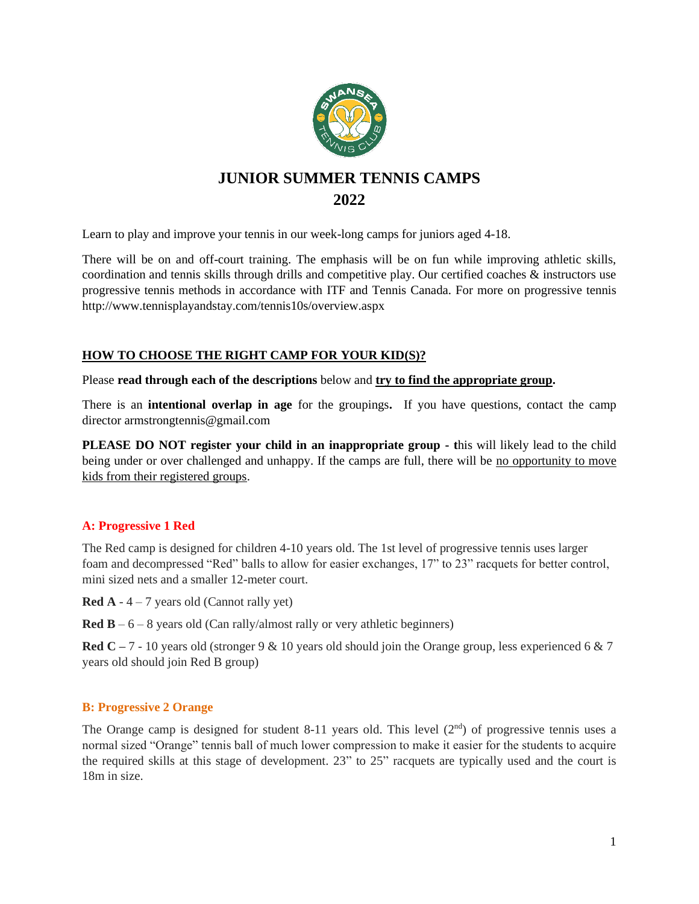

# **JUNIOR SUMMER TENNIS CAMPS 2022**

Learn to play and improve your tennis in our week-long camps for juniors aged 4-18.

There will be on and off-court training. The emphasis will be on fun while improving athletic skills, coordination and tennis skills through drills and competitive play. Our certified coaches & instructors use progressive tennis methods in accordance with ITF and Tennis Canada. For more on progressive tennis http://www.tennisplayandstay.com/tennis10s/overview.aspx

### **HOW TO CHOOSE THE RIGHT CAMP FOR YOUR KID(S)?**

Please **read through each of the descriptions** below and **try to find the appropriate group.** 

There is an **intentional overlap in age** for the groupings**.** If you have questions, contact the camp director armstrongtennis@gmail.com

**PLEASE DO NOT register your child in an inappropriate group - t**his will likely lead to the child being under or over challenged and unhappy. If the camps are full, there will be no opportunity to move kids from their registered groups.

### **A: Progressive 1 Red**

The Red camp is designed for children 4-10 years old. The 1st level of progressive tennis uses larger foam and decompressed "Red" balls to allow for easier exchanges, 17" to 23" racquets for better control, mini sized nets and a smaller 12-meter court.

**Red A** -  $4 - 7$  years old (Cannot rally yet)

**Red B** –  $6 - 8$  years old (Can rally/almost rally or very athletic beginners)

**Red C** – 7 - 10 years old (stronger 9 & 10 years old should join the Orange group, less experienced 6 & 7 years old should join Red B group)

### **B: Progressive 2 Orange**

The Orange camp is designed for student 8-11 years old. This level  $(2<sup>nd</sup>)$  of progressive tennis uses a normal sized "Orange" tennis ball of much lower compression to make it easier for the students to acquire the required skills at this stage of development. 23" to 25" racquets are typically used and the court is 18m in size.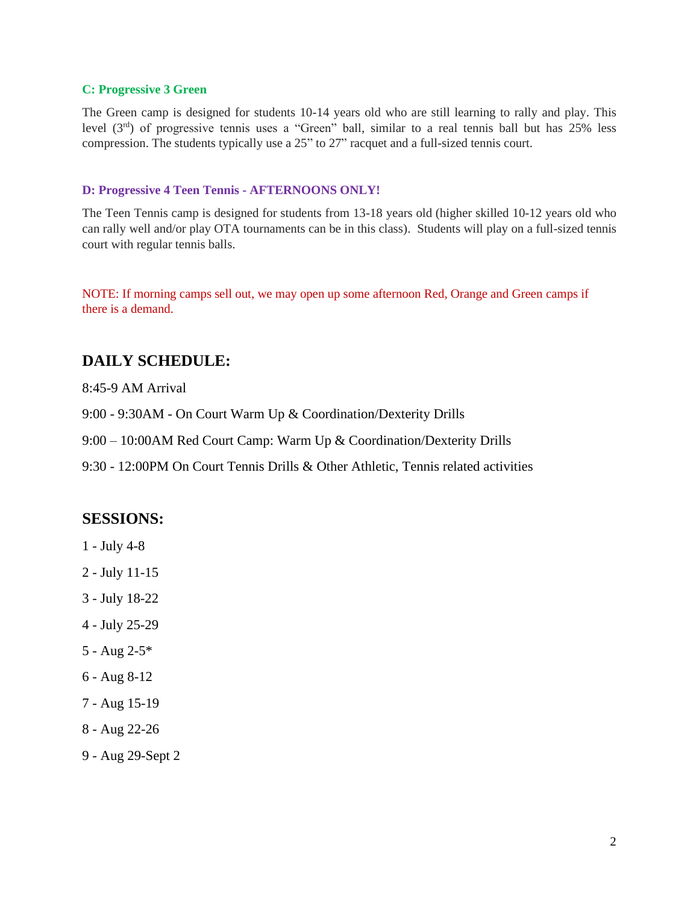#### **C: Progressive 3 Green**

The Green camp is designed for students 10-14 years old who are still learning to rally and play. This level (3rd) of progressive tennis uses a "Green" ball, similar to a real tennis ball but has 25% less compression. The students typically use a 25" to 27" racquet and a full-sized tennis court.

#### **D: Progressive 4 Teen Tennis - AFTERNOONS ONLY!**

The Teen Tennis camp is designed for students from 13-18 years old (higher skilled 10-12 years old who can rally well and/or play OTA tournaments can be in this class). Students will play on a full-sized tennis court with regular tennis balls.

NOTE: If morning camps sell out, we may open up some afternoon Red, Orange and Green camps if there is a demand.

### **DAILY SCHEDULE:**

8:45-9 AM Arrival

9:00 - 9:30AM - On Court Warm Up & Coordination/Dexterity Drills

9:00 – 10:00AM Red Court Camp: Warm Up & Coordination/Dexterity Drills

9:30 - 12:00PM On Court Tennis Drills & Other Athletic, Tennis related activities

### **SESSIONS:**

- 1 July 4-8
- 2 July 11-15
- 3 July 18-22
- 4 July 25-29
- 5 Aug 2-5\*
- 6 Aug 8-12
- 7 Aug 15-19
- 8 Aug 22-26
- 9 Aug 29-Sept 2